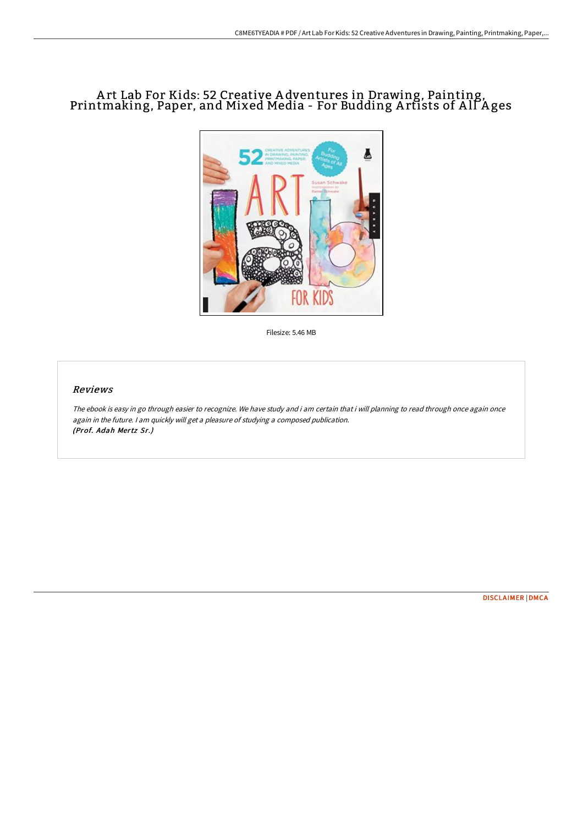# A rt Lab For Kids: 52 Creative A dventures in Drawing, Painting, Printmaking, Paper, and Mixed Media - For Budding Artists of All Ages



Filesize: 5.46 MB

### Reviews

The ebook is easy in go through easier to recognize. We have study and i am certain that i will planning to read through once again once again in the future. <sup>I</sup> am quickly will get <sup>a</sup> pleasure of studying <sup>a</sup> composed publication. (Prof. Adah Mertz Sr.)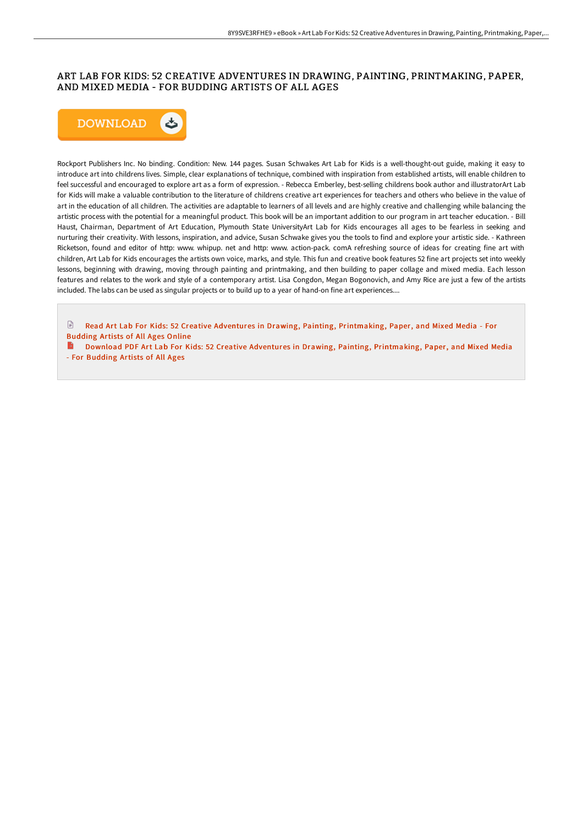## ART LAB FOR KIDS: 52 CREATIVE ADVENTURES IN DRAWING, PAINTING, PRINTMAKING, PAPER, AND MIXED MEDIA - FOR BUDDING ARTISTS OF ALL AGES



Rockport Publishers Inc. No binding. Condition: New. 144 pages. Susan Schwakes Art Lab for Kids is a well-thought-out guide, making it easy to introduce art into childrens lives. Simple, clear explanations of technique, combined with inspiration from established artists, will enable children to feel successful and encouraged to explore art as a form of expression. - Rebecca Emberley, best-selling childrens book author and illustratorArt Lab for Kids will make a valuable contribution to the literature of childrens creative art experiences for teachers and others who believe in the value of art in the education of all children. The activities are adaptable to learners of all levels and are highly creative and challenging while balancing the artistic process with the potential for a meaningful product. This book will be an important addition to our program in art teacher education. - Bill Haust, Chairman, Department of Art Education, Plymouth State UniversityArt Lab for Kids encourages all ages to be fearless in seeking and nurturing their creativity. With lessons, inspiration, and advice, Susan Schwake gives you the tools to find and explore your artistic side. - Kathreen Ricketson, found and editor of http: www. whipup. net and http: www. action-pack. comA refreshing source of ideas for creating fine art with children, Art Lab for Kids encourages the artists own voice, marks, and style. This fun and creative book features 52 fine art projects set into weekly lessons, beginning with drawing, moving through painting and printmaking, and then building to paper collage and mixed media. Each lesson features and relates to the work and style of a contemporary artist. Lisa Congdon, Megan Bogonovich, and Amy Rice are just a few of the artists included. The labs can be used as singular projects or to build up to a year of hand-on fine art experiences....

 $\mathbb{R}$ Read Art Lab For Kids: 52 Creative Adventures in Drawing, Painting, [Printmaking,](http://techno-pub.tech/art-lab-for-kids-52-creative-adventures-in-drawi.html) Paper, and Mixed Media - For Budding Artists of All Ages Online

Download PDF Art Lab For Kids: 52 Creative Adventures in Drawing, Painting, [Printmaking,](http://techno-pub.tech/art-lab-for-kids-52-creative-adventures-in-drawi.html) Paper, and Mixed Media - For Budding Artists of All Ages